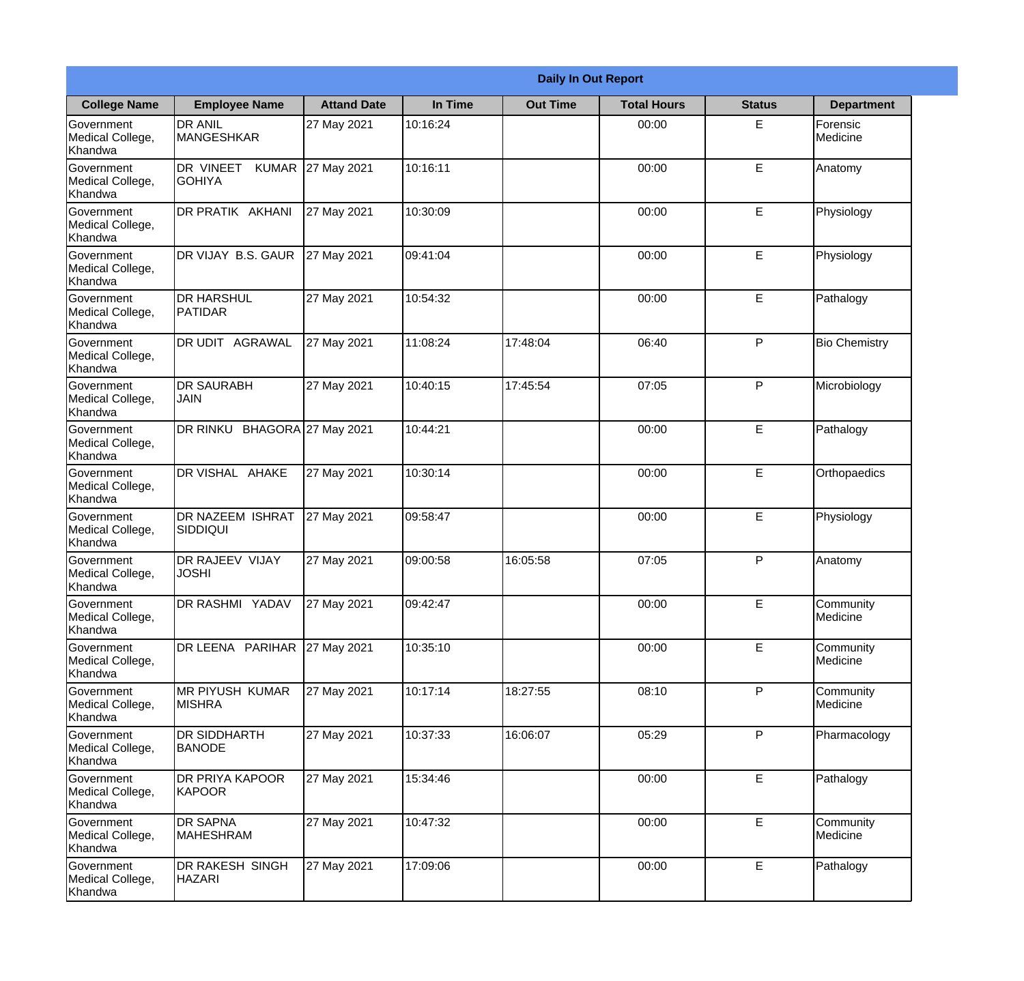|                                                  | <b>Daily In Out Report</b>                 |                    |          |                 |                    |               |                       |  |
|--------------------------------------------------|--------------------------------------------|--------------------|----------|-----------------|--------------------|---------------|-----------------------|--|
| <b>College Name</b>                              | <b>Employee Name</b>                       | <b>Attand Date</b> | In Time  | <b>Out Time</b> | <b>Total Hours</b> | <b>Status</b> | <b>Department</b>     |  |
| Government<br>Medical College,<br>Khandwa        | <b>DR ANIL</b><br><b>MANGESHKAR</b>        | 27 May 2021        | 10:16:24 |                 | 00:00              | E             | Forensic<br>Medicine  |  |
| Government<br>Medical College,<br>Khandwa        | DR VINEET<br><b>KUMAR</b><br><b>GOHIYA</b> | 27 May 2021        | 10:16:11 |                 | 00:00              | E             | Anatomy               |  |
| <b>Government</b><br>Medical College,<br>Khandwa | DR PRATIK AKHANI                           | 27 May 2021        | 10:30:09 |                 | 00:00              | E             | Physiology            |  |
| Government<br>Medical College,<br>Khandwa        | DR VIJAY B.S. GAUR                         | 27 May 2021        | 09:41:04 |                 | 00:00              | E             | Physiology            |  |
| <b>Government</b><br>Medical College,<br>Khandwa | <b>DR HARSHUL</b><br><b>PATIDAR</b>        | 27 May 2021        | 10:54:32 |                 | 00:00              | E             | Pathalogy             |  |
| Government<br>Medical College,<br>Khandwa        | DR UDIT AGRAWAL                            | 27 May 2021        | 11:08:24 | 17:48:04        | 06:40              | P             | <b>Bio Chemistry</b>  |  |
| Government<br>Medical College,<br>Khandwa        | <b>DR SAURABH</b><br><b>JAIN</b>           | 27 May 2021        | 10:40:15 | 17:45:54        | 07:05              | P             | Microbiology          |  |
| Government<br>Medical College,<br>Khandwa        | DR RINKU BHAGORA 27 May 2021               |                    | 10:44:21 |                 | 00:00              | E             | Pathalogy             |  |
| Government<br>Medical College,<br>Khandwa        | DR VISHAL AHAKE                            | 27 May 2021        | 10:30:14 |                 | 00:00              | E             | Orthopaedics          |  |
| Government<br>Medical College,<br>Khandwa        | DR NAZEEM ISHRAT<br><b>SIDDIQUI</b>        | 27 May 2021        | 09:58:47 |                 | 00:00              | E             | Physiology            |  |
| Government<br>Medical College,<br>Khandwa        | DR RAJEEV VIJAY<br><b>JOSHI</b>            | 27 May 2021        | 09:00:58 | 16:05:58        | 07:05              | $\mathsf{P}$  | Anatomy               |  |
| Government<br>Medical College,<br>Khandwa        | <b>DR RASHMI YADAV</b>                     | 27 May 2021        | 09:42:47 |                 | 00:00              | E             | Community<br>Medicine |  |
| Government<br>Medical College,<br>Khandwa        | DR LEENA PARIHAR                           | 27 May 2021        | 10:35:10 |                 | 00:00              | E             | Community<br>Medicine |  |
| Government<br>Medical College,<br>Khandwa        | <b>MR PIYUSH KUMAR</b><br><b>MISHRA</b>    | 27 May 2021        | 10:17:14 | 18:27:55        | 08:10              | P             | Community<br>Medicine |  |
| Government<br>Medical College,<br>Khandwa        | <b>DR SIDDHARTH</b><br><b>BANODE</b>       | 27 May 2021        | 10:37:33 | 16:06:07        | 05:29              | P             | Pharmacology          |  |
| Government<br>Medical College,<br>Khandwa        | DR PRIYA KAPOOR<br>KAPOOR                  | 27 May 2021        | 15:34:46 |                 | 00:00              | E             | Pathalogy             |  |
| Government<br>Medical College,<br>Khandwa        | <b>DR SAPNA</b><br>MAHESHRAM               | 27 May 2021        | 10:47:32 |                 | 00:00              | E             | Community<br>Medicine |  |
| Government<br>Medical College,<br>Khandwa        | DR RAKESH SINGH<br><b>HAZARI</b>           | 27 May 2021        | 17:09:06 |                 | 00:00              | E             | Pathalogy             |  |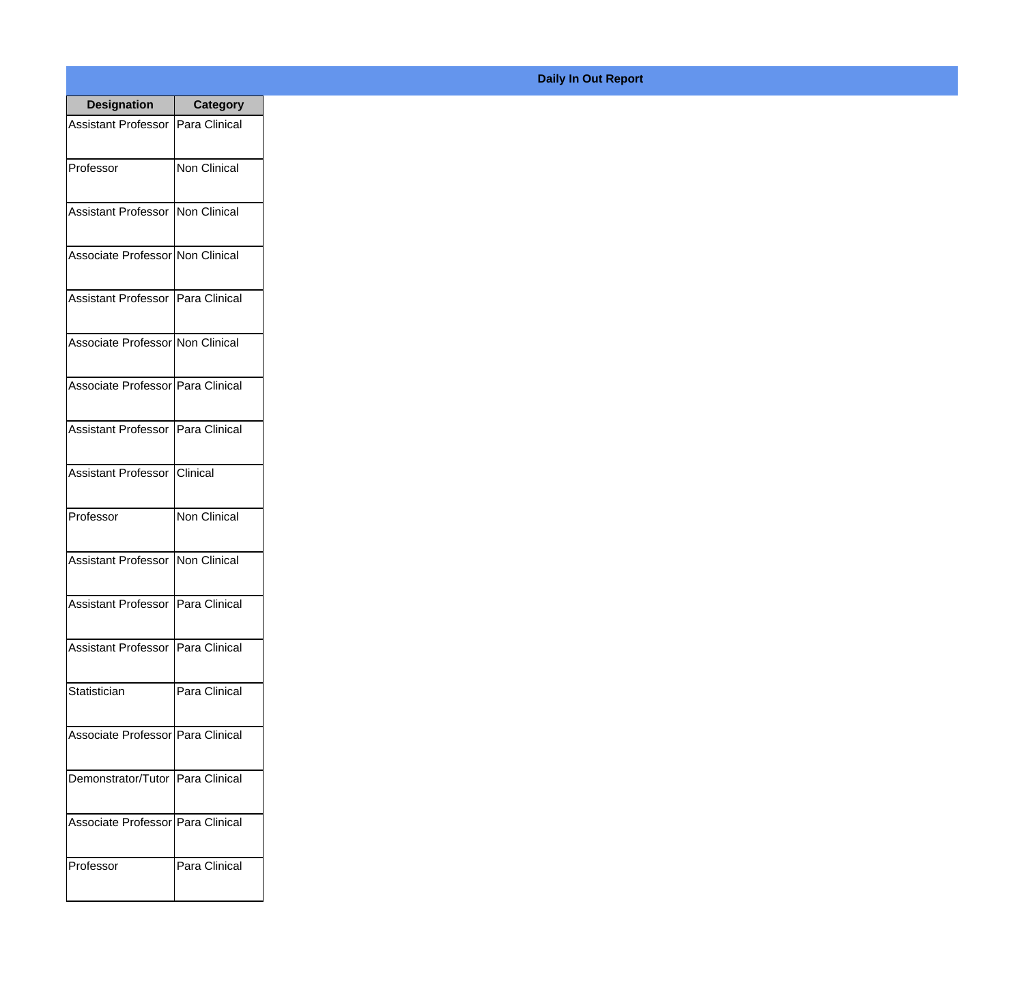| <b>Designation</b>                  | <b>Category</b> |
|-------------------------------------|-----------------|
| Assistant Professor   Para Clinical |                 |
| Professor                           | Non Clinical    |
| Assistant Professor   Non Clinical  |                 |
| Associate Professor Non Clinical    |                 |
| Assistant Professor   Para Clinical |                 |
| Associate Professor Non Clinical    |                 |
| Associate Professor Para Clinical   |                 |
| Assistant Professor   Para Clinical |                 |
| Assistant Professor   Clinical      |                 |
| Professor                           | Non Clinical    |
| <b>Assistant Professor</b>          | Non Clinical    |
| Assistant Professor   Para Clinical |                 |
| <b>Assistant Professor</b>          | Para Clinical   |
| Statistician                        | Para Clinical   |
| Associate Professor   Para Clinical |                 |
| Demonstrator/Tutor                  | Para Clinical   |
| Associate Professor   Para Clinical |                 |
| Professor                           | Para Clinical   |

## **Daily In Out Report**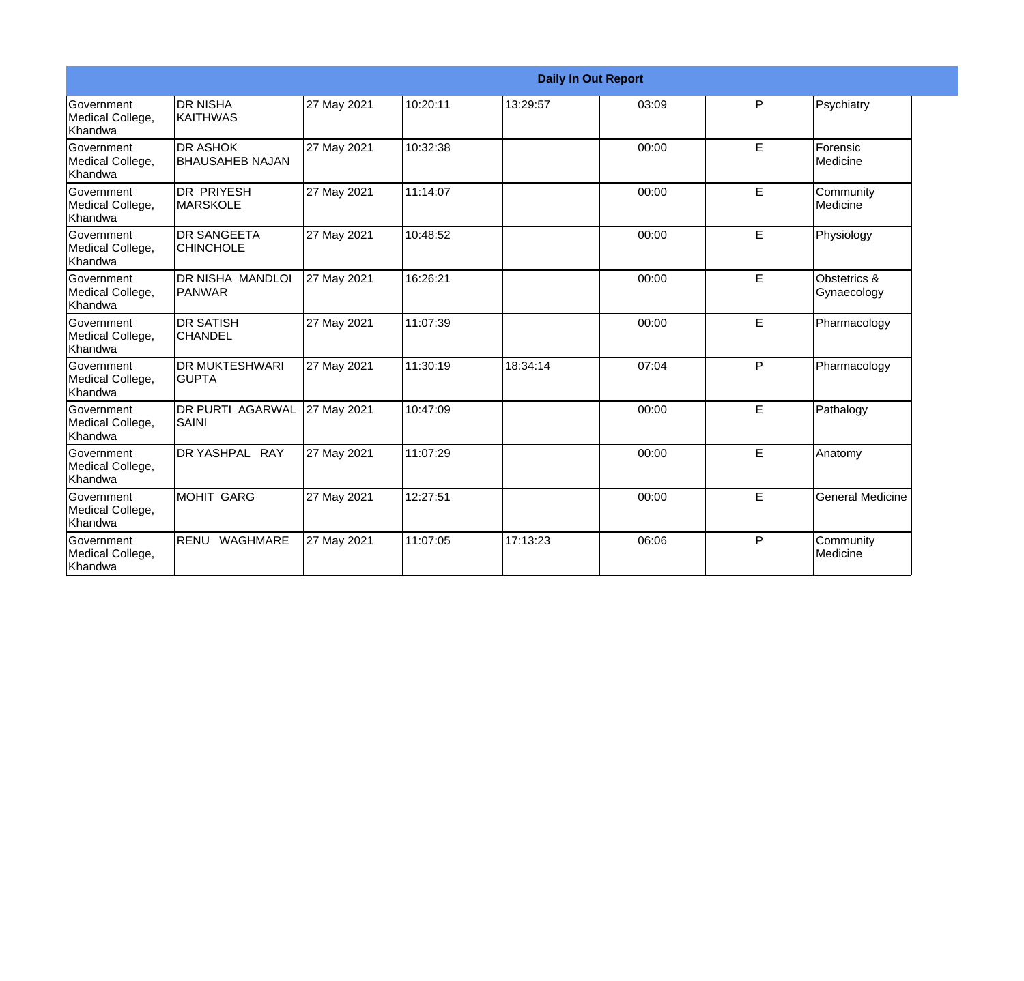|                                                  |                                           |             |          |          | <b>Daily In Out Report</b> |   |                             |
|--------------------------------------------------|-------------------------------------------|-------------|----------|----------|----------------------------|---|-----------------------------|
| Government<br>Medical College,<br>Khandwa        | <b>DR NISHA</b><br>IKAITHWAS              | 27 May 2021 | 10:20:11 | 13:29:57 | 03:09                      | P | Psychiatry                  |
| Government<br>Medical College,<br>Khandwa        | <b>DR ASHOK</b><br><b>BHAUSAHEB NAJAN</b> | 27 May 2021 | 10:32:38 |          | 00:00                      | E | Forensic<br>Medicine        |
| <b>Government</b><br>Medical College,<br>Khandwa | <b>DR PRIYESH</b><br><b>MARSKOLE</b>      | 27 May 2021 | 11:14:07 |          | 00:00                      | E | Community<br>Medicine       |
| Government<br>Medical College,<br>Khandwa        | <b>DR SANGEETA</b><br><b>CHINCHOLE</b>    | 27 May 2021 | 10:48:52 |          | 00:00                      | E | Physiology                  |
| Government<br>Medical College,<br>Khandwa        | DR NISHA MANDLOI<br><b>PANWAR</b>         | 27 May 2021 | 16:26:21 |          | 00:00                      | E | Obstetrics &<br>Gynaecology |
| Government<br>Medical College,<br>Khandwa        | <b>DR SATISH</b><br><b>CHANDEL</b>        | 27 May 2021 | 11:07:39 |          | 00:00                      | E | Pharmacology                |
| Government<br>Medical College,<br>Khandwa        | <b>DR MUKTESHWARI</b><br><b>GUPTA</b>     | 27 May 2021 | 11:30:19 | 18:34:14 | 07:04                      | P | Pharmacology                |
| Government<br>Medical College,<br>Khandwa        | <b>DR PURTI AGARWAL</b><br>SAINI          | 27 May 2021 | 10:47:09 |          | 00:00                      | E | Pathalogy                   |
| Government<br>Medical College,<br>Khandwa        | DR YASHPAL RAY                            | 27 May 2021 | 11:07:29 |          | 00:00                      | E | Anatomy                     |
| Government<br>Medical College,<br>Khandwa        | MOHIT GARG                                | 27 May 2021 | 12:27:51 |          | 00:00                      | E | <b>General Medicine</b>     |
| Government<br>Medical College,<br>Khandwa        | <b>WAGHMARE</b><br><b>RENU</b>            | 27 May 2021 | 11:07:05 | 17:13:23 | 06:06                      | P | Community<br>Medicine       |